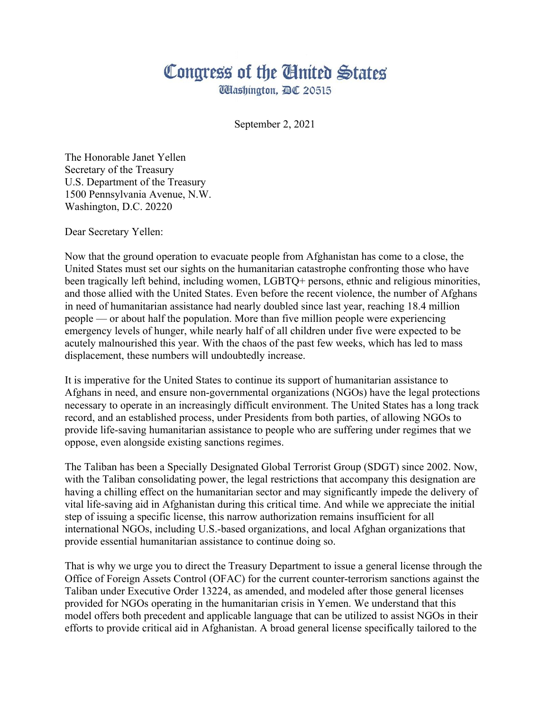## Congress of the Cinited States

**Washington, AC 20515** 

September 2, 2021

The Honorable Janet Yellen Secretary of the Treasury U.S. Department of the Treasury 1500 Pennsylvania Avenue, N.W. Washington, D.C. 20220

Dear Secretary Yellen:

Now that the ground operation to evacuate people from Afghanistan has come to a close, the United States must set our sights on the humanitarian catastrophe confronting those who have been tragically left behind, including women, LGBTQ+ persons, ethnic and religious minorities, and those allied with the United States. Even before the recent violence, the number of Afghans in need of humanitarian assistance had nearly doubled since last year, reaching 18.4 million people — or about half the population. More than five million people were experiencing emergency levels of hunger, while nearly half of all children under five were expected to be acutely malnourished this year. With the chaos of the past few weeks, which has led to mass displacement, these numbers will undoubtedly increase.

It is imperative for the United States to continue its support of humanitarian assistance to Afghans in need, and ensure non-governmental organizations (NGOs) have the legal protections necessary to operate in an increasingly difficult environment. The United States has a long track record, and an established process, under Presidents from both parties, of allowing NGOs to provide life-saving humanitarian assistance to people who are suffering under regimes that we oppose, even alongside existing sanctions regimes.

The Taliban has been a Specially Designated Global Terrorist Group (SDGT) since 2002. Now, with the Taliban consolidating power, the legal restrictions that accompany this designation are having a chilling effect on the humanitarian sector and may significantly impede the delivery of vital life-saving aid in Afghanistan during this critical time. And while we appreciate the initial step of issuing a specific license, this narrow authorization remains insufficient for all international NGOs, including U.S.-based organizations, and local Afghan organizations that provide essential humanitarian assistance to continue doing so.

That is why we urge you to direct the Treasury Department to issue a general license through the Office of Foreign Assets Control (OFAC) for the current counter-terrorism sanctions against the Taliban under Executive Order 13224, as amended, and modeled after those general licenses provided for NGOs operating in the humanitarian crisis in Yemen. We understand that this model offers both precedent and applicable language that can be utilized to assist NGOs in their efforts to provide critical aid in Afghanistan. A broad general license specifically tailored to the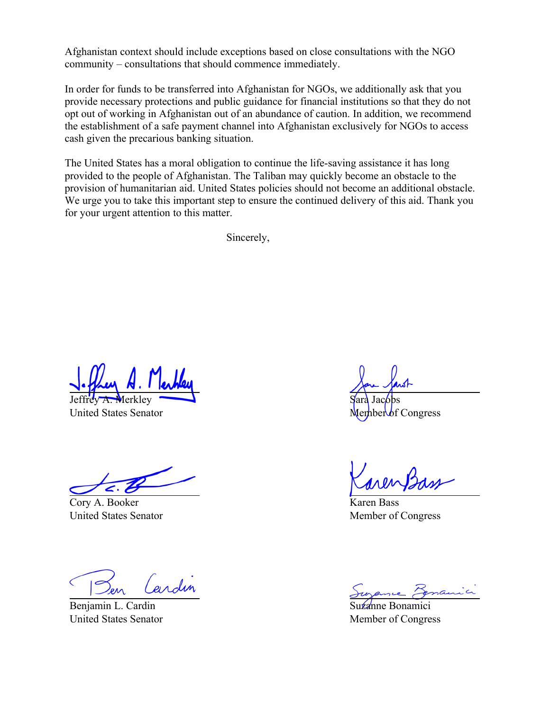Afghanistan context should include exceptions based on close consultations with the NGO community – consultations that should commence immediately.

In order for funds to be transferred into Afghanistan for NGOs, we additionally ask that you provide necessary protections and public guidance for financial institutions so that they do not opt out of working in Afghanistan out of an abundance of caution. In addition, we recommend the establishment of a safe payment channel into Afghanistan exclusively for NGOs to access cash given the precarious banking situation.

The United States has a moral obligation to continue the life-saving assistance it has long provided to the people of Afghanistan. The Taliban may quickly become an obstacle to the provision of humanitarian aid. United States policies should not become an additional obstacle. We urge you to take this important step to ensure the continued delivery of this aid. Thank you for your urgent attention to this matter.

Sincerely,

Jeffrey A. Merkley

United States Senator

Cory A. Booker United States Senator

erdin

Benjamin L. Cardin United States Senator

Sara Jacobs **Congress** 

Karen Bass Member of Congress

Suzanne Bonamici Member of Congress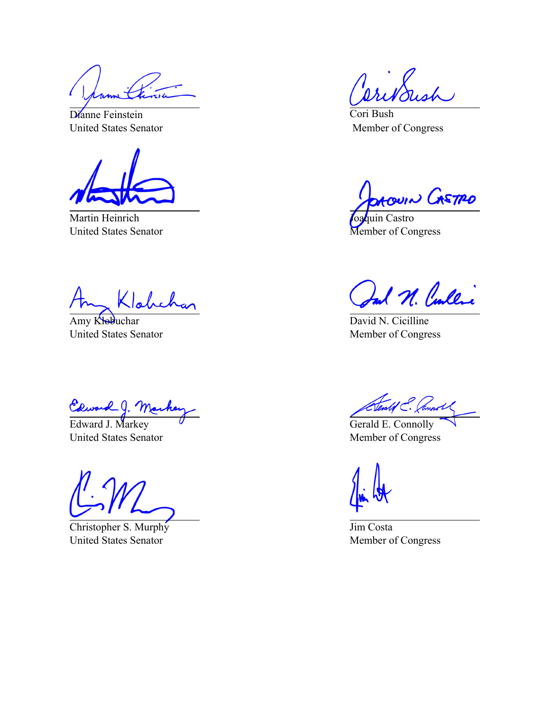Dianne Feinstein United States Senator

Martin Heinrich United States Senator

Klahchan

Amy Klobuchar United States Senator

Edward J. Marke

United States Senator

Christopher S. Murphy United States Senator

 $\chi$ 

Cori Bush Member of Congress

**OACOUIN CASTRO** 

oaquin Castro Member of Congress

al N. Cullic

David N. Cicilline Member of Congress

Clealof C. Cannot

Gerald E. Connolly Member of Congress

Jim Costa Member of Congress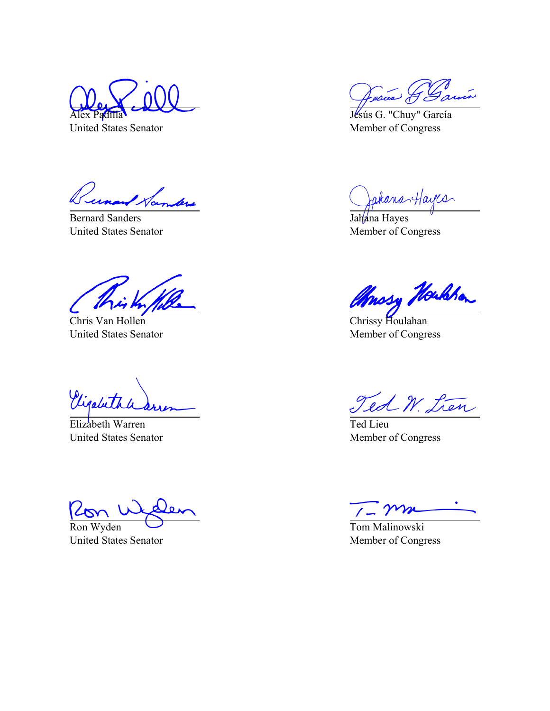Alex Padilla

United States Senator

Tunand Samlers

Bernard Sanders United States Senator

Chris Van Hollen United States Senator

Vigabeth

Elizabeth Warren United States Senator

Ron Wyden United States Senator

Cesus J

Jésús G. "Chuy" García Member of Congress

Jakana-Hayes

Jahana Hayes Member of Congress

throsy Houldon

Chrissy Houlahan Member of Congress

Ted W. Lien

Ted Lieu Member of Congress

Tom Malinowski Member of Congress